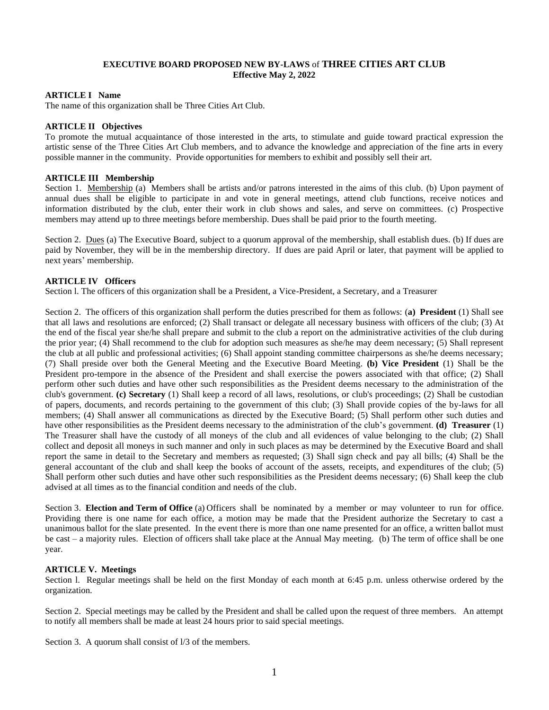## **EXECUTIVE BOARD PROPOSED NEW BY-LAWS** of **THREE CITIES ART CLUB Effective May 2, 2022**

### **ARTICLE I Name**

The name of this organization shall be Three Cities Art Club.

### **ARTICLE II Objectives**

To promote the mutual acquaintance of those interested in the arts, to stimulate and guide toward practical expression the artistic sense of the Three Cities Art Club members, and to advance the knowledge and appreciation of the fine arts in every possible manner in the community. Provide opportunities for members to exhibit and possibly sell their art.

### **ARTICLE III Membership**

Section 1. Membership (a) Members shall be artists and/or patrons interested in the aims of this club. (b) Upon payment of annual dues shall be eligible to participate in and vote in general meetings, attend club functions, receive notices and information distributed by the club, enter their work in club shows and sales, and serve on committees. (c) Prospective members may attend up to three meetings before membership. Dues shall be paid prior to the fourth meeting.

Section 2. Dues (a) The Executive Board, subject to a quorum approval of the membership, shall establish dues. (b) If dues are paid by November, they will be in the membership directory. If dues are paid April or later, that payment will be applied to next years' membership.

# **ARTICLE IV Officers**

Section l. The officers of this organization shall be a President, a Vice-President, a Secretary, and a Treasurer

Section 2. The officers of this organization shall perform the duties prescribed for them as follows: (**a) President** (1) Shall see that all laws and resolutions are enforced; (2) Shall transact or delegate all necessary business with officers of the club; (3) At the end of the fiscal year she/he shall prepare and submit to the club a report on the administrative activities of the club during the prior year; (4) Shall recommend to the club for adoption such measures as she/he may deem necessary; (5) Shall represent the club at all public and professional activities; (6) Shall appoint standing committee chairpersons as she/he deems necessary; (7) Shall preside over both the General Meeting and the Executive Board Meeting. **(b) Vice President** (1) Shall be the President pro-tempore in the absence of the President and shall exercise the powers associated with that office; (2) Shall perform other such duties and have other such responsibilities as the President deems necessary to the administration of the club's government. **(c) Secretary** (1) Shall keep a record of all laws, resolutions, or club's proceedings; (2) Shall be custodian of papers, documents, and records pertaining to the government of this club; (3) Shall provide copies of the by-laws for all members; (4) Shall answer all communications as directed by the Executive Board; (5) Shall perform other such duties and have other responsibilities as the President deems necessary to the administration of the club's government. **(d) Treasurer** (1) The Treasurer shall have the custody of all moneys of the club and all evidences of value belonging to the club; (2) Shall collect and deposit all moneys in such manner and only in such places as may be determined by the Executive Board and shall report the same in detail to the Secretary and members as requested; (3) Shall sign check and pay all bills; (4) Shall be the general accountant of the club and shall keep the books of account of the assets, receipts, and expenditures of the club; (5) Shall perform other such duties and have other such responsibilities as the President deems necessary; (6) Shall keep the club advised at all times as to the financial condition and needs of the club.

Section 3. **Election and Term of Office** (a) Officers shall be nominated by a member or may volunteer to run for office. Providing there is one name for each office, a motion may be made that the President authorize the Secretary to cast a unanimous ballot for the slate presented. In the event there is more than one name presented for an office, a written ballot must be cast – a majority rules. Election of officers shall take place at the Annual May meeting. (b) The term of office shall be one year.

### **ARTICLE V. Meetings**

Section l. Regular meetings shall be held on the first Monday of each month at 6:45 p.m. unless otherwise ordered by the organization.

Section 2. Special meetings may be called by the President and shall be called upon the request of three members. An attempt to notify all members shall be made at least 24 hours prior to said special meetings.

Section 3. A quorum shall consist of  $1/3$  of the members.